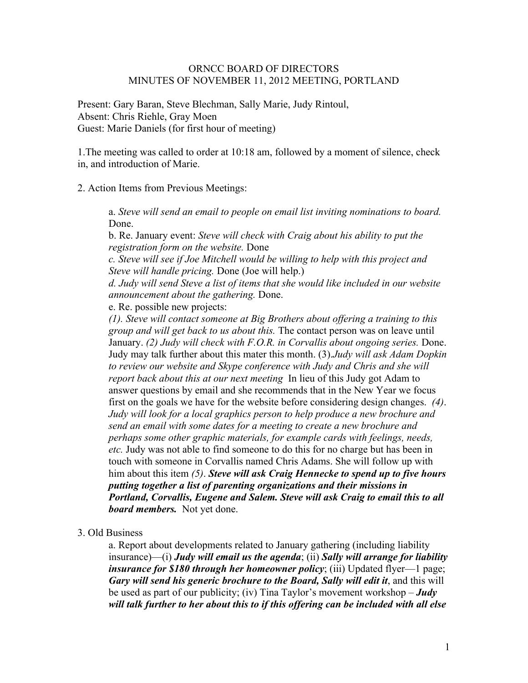#### ORNCC BOARD OF DIRECTORS MINUTES OF NOVEMBER 11, 2012 MEETING, PORTLAND

Present: Gary Baran, Steve Blechman, Sally Marie, Judy Rintoul, Absent: Chris Riehle, Gray Moen Guest: Marie Daniels (for first hour of meeting)

1.The meeting was called to order at 10:18 am, followed by a moment of silence, check in, and introduction of Marie.

2. Action Items from Previous Meetings:

a. *Steve will send an email to people on email list inviting nominations to board.*  Done.

b. Re. January event: *Steve will check with Craig about his ability to put the registration form on the website.* Done

*c. Steve will see if Joe Mitchell would be willing to help with this project and Steve will handle pricing.* Done (Joe will help.)

*d. Judy will send Steve a list of items that she would like included in our website announcement about the gathering.* Done.

e. Re. possible new projects:

*(1). Steve will contact someone at Big Brothers about offering a training to this group and will get back to us about this.* The contact person was on leave until January. *(2) Judy will check with F.O.R. in Corvallis about ongoing series.* Done. Judy may talk further about this mater this month. (3).*Judy will ask Adam Dopkin to review our website and Skype conference with Judy and Chris and she will report back about this at our next meeting* In lieu of this Judy got Adam to answer questions by email and she recommends that in the New Year we focus first on the goals we have for the website before considering design changes. *(4)*. *Judy will look for a local graphics person to help produce a new brochure and send an email with some dates for a meeting to create a new brochure and perhaps some other graphic materials, for example cards with feelings, needs, etc.* Judy was not able to find someone to do this for no charge but has been in touch with someone in Corvallis named Chris Adams. She will follow up with him about this item *(5)*. *Steve will ask Craig Hennecke to spend up to five hours putting together a list of parenting organizations and their missions in Portland, Corvallis, Eugene and Salem. Steve will ask Craig to email this to all board members.* Not yet done.

#### 3. Old Business

a. Report about developments related to January gathering (including liability insurance)—(i) *Judy will email us the agenda*; (ii) *Sally will arrange for liability insurance for \$180 through her homeowner policy*; (iii) Updated flyer—1 page; *Gary will send his generic brochure to the Board, Sally will edit it*, and this will be used as part of our publicity; (iv) Tina Taylor's movement workshop – *Judy will talk further to her about this to if this offering can be included with all else*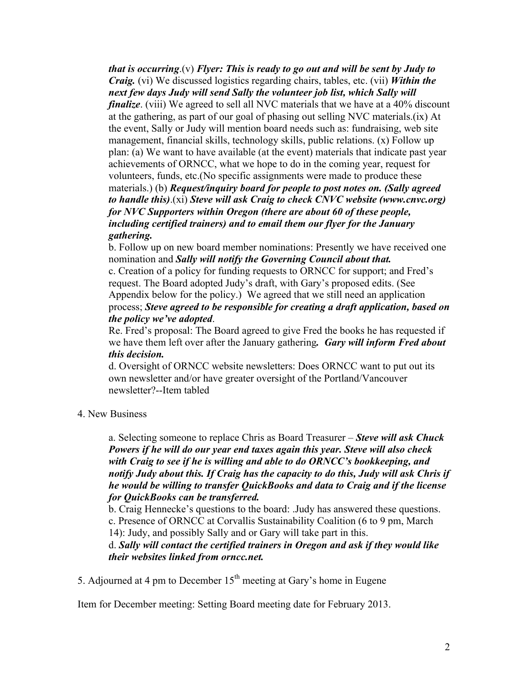*that is occurring*.(v) *Flyer: This is ready to go out and will be sent by Judy to Craig.* (vi) We discussed logistics regarding chairs, tables, etc. (vii) *Within the next few days Judy will send Sally the volunteer job list, which Sally will finalize*. (viii) We agreed to sell all NVC materials that we have at a 40% discount at the gathering, as part of our goal of phasing out selling NVC materials.(ix) At the event, Sally or Judy will mention board needs such as: fundraising, web site management, financial skills, technology skills, public relations. (x) Follow up plan: (a) We want to have available (at the event) materials that indicate past year achievements of ORNCC, what we hope to do in the coming year, request for volunteers, funds, etc.(No specific assignments were made to produce these materials.) (b) *Request/inquiry board for people to post notes on. (Sally agreed to handle this)*.(xi) *Steve will ask Craig to check CNVC website (www.cnvc.org) for NVC Supporters within Oregon (there are about 60 of these people, including certified trainers) and to email them our flyer for the January gathering.*

b. Follow up on new board member nominations: Presently we have received one nomination and *Sally will notify the Governing Council about that.*

c. Creation of a policy for funding requests to ORNCC for support; and Fred's request. The Board adopted Judy's draft, with Gary's proposed edits. (See Appendix below for the policy.) We agreed that we still need an application process; *Steve agreed to be responsible for creating a draft application, based on the policy we've adopted*.

Re. Fred's proposal: The Board agreed to give Fred the books he has requested if we have them left over after the January gathering*. Gary will inform Fred about this decision.*

d. Oversight of ORNCC website newsletters: Does ORNCC want to put out its own newsletter and/or have greater oversight of the Portland/Vancouver newsletter?--Item tabled

### 4. New Business

a. Selecting someone to replace Chris as Board Treasurer – *Steve will ask Chuck Powers if he will do our year end taxes again this year. Steve will also check with Craig to see if he is willing and able to do ORNCC's bookkeeping, and notify Judy about this. If Craig has the capacity to do this, Judy will ask Chris if he would be willing to transfer QuickBooks and data to Craig and if the license for QuickBooks can be transferred.* 

b. Craig Hennecke's questions to the board: .Judy has answered these questions. c. Presence of ORNCC at Corvallis Sustainability Coalition (6 to 9 pm, March 14): Judy, and possibly Sally and or Gary will take part in this.

d. *Sally will contact the certified trainers in Oregon and ask if they would like their websites linked from orncc.net.*

5. Adjourned at 4 pm to December  $15<sup>th</sup>$  meeting at Gary's home in Eugene

Item for December meeting: Setting Board meeting date for February 2013.